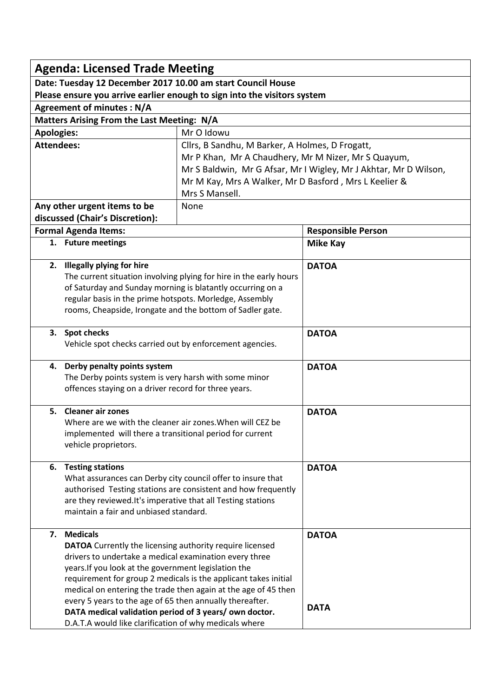|                                                                          | <b>Agenda: Licensed Trade Meeting</b>                                                                         |                                                                    |                           |  |  |
|--------------------------------------------------------------------------|---------------------------------------------------------------------------------------------------------------|--------------------------------------------------------------------|---------------------------|--|--|
| Date: Tuesday 12 December 2017 10.00 am start Council House              |                                                                                                               |                                                                    |                           |  |  |
| Please ensure you arrive earlier enough to sign into the visitors system |                                                                                                               |                                                                    |                           |  |  |
| <b>Agreement of minutes: N/A</b>                                         |                                                                                                               |                                                                    |                           |  |  |
| Matters Arising From the Last Meeting: N/A                               |                                                                                                               |                                                                    |                           |  |  |
| <b>Apologies:</b>                                                        |                                                                                                               | Mr O Idowu                                                         |                           |  |  |
| <b>Attendees:</b>                                                        |                                                                                                               | Cllrs, B Sandhu, M Barker, A Holmes, D Frogatt,                    |                           |  |  |
|                                                                          |                                                                                                               | Mr P Khan, Mr A Chaudhery, Mr M Nizer, Mr S Quayum,                |                           |  |  |
|                                                                          |                                                                                                               | Mr S Baldwin, Mr G Afsar, Mr I Wigley, Mr J Akhtar, Mr D Wilson,   |                           |  |  |
|                                                                          |                                                                                                               | Mr M Kay, Mrs A Walker, Mr D Basford, Mrs L Keelier &              |                           |  |  |
|                                                                          |                                                                                                               | Mrs S Mansell.                                                     |                           |  |  |
| Any other urgent items to be                                             |                                                                                                               | None                                                               |                           |  |  |
|                                                                          | discussed (Chair's Discretion):                                                                               |                                                                    |                           |  |  |
|                                                                          | <b>Formal Agenda Items:</b>                                                                                   |                                                                    | <b>Responsible Person</b> |  |  |
|                                                                          | 1. Future meetings                                                                                            |                                                                    | <b>Mike Kay</b>           |  |  |
|                                                                          | 2. Illegally plying for hire                                                                                  |                                                                    | <b>DATOA</b>              |  |  |
|                                                                          |                                                                                                               | The current situation involving plying for hire in the early hours |                           |  |  |
|                                                                          | of Saturday and Sunday morning is blatantly occurring on a                                                    |                                                                    |                           |  |  |
|                                                                          | regular basis in the prime hotspots. Morledge, Assembly                                                       |                                                                    |                           |  |  |
|                                                                          | rooms, Cheapside, Irongate and the bottom of Sadler gate.                                                     |                                                                    |                           |  |  |
|                                                                          | 3. Spot checks                                                                                                |                                                                    | <b>DATOA</b>              |  |  |
|                                                                          | Vehicle spot checks carried out by enforcement agencies.                                                      |                                                                    |                           |  |  |
|                                                                          |                                                                                                               |                                                                    |                           |  |  |
|                                                                          | 4. Derby penalty points system                                                                                |                                                                    | <b>DATOA</b>              |  |  |
|                                                                          | The Derby points system is very harsh with some minor<br>offences staying on a driver record for three years. |                                                                    |                           |  |  |
|                                                                          |                                                                                                               |                                                                    |                           |  |  |
|                                                                          | 5. Cleaner air zones                                                                                          |                                                                    | <b>DATOA</b>              |  |  |
|                                                                          | Where are we with the cleaner air zones. When will CEZ be                                                     |                                                                    |                           |  |  |
|                                                                          | implemented will there a transitional period for current                                                      |                                                                    |                           |  |  |
|                                                                          | vehicle proprietors.                                                                                          |                                                                    |                           |  |  |
|                                                                          | 6. Testing stations                                                                                           |                                                                    | <b>DATOA</b>              |  |  |
|                                                                          | What assurances can Derby city council offer to insure that                                                   |                                                                    |                           |  |  |
|                                                                          |                                                                                                               | authorised Testing stations are consistent and how frequently      |                           |  |  |
|                                                                          | are they reviewed. It's imperative that all Testing stations                                                  |                                                                    |                           |  |  |
|                                                                          | maintain a fair and unbiased standard.                                                                        |                                                                    |                           |  |  |
| 7.                                                                       | <b>Medicals</b>                                                                                               |                                                                    | <b>DATOA</b>              |  |  |
|                                                                          | <b>DATOA</b> Currently the licensing authority require licensed                                               |                                                                    |                           |  |  |
|                                                                          | drivers to undertake a medical examination every three                                                        |                                                                    |                           |  |  |
|                                                                          | years. If you look at the government legislation the                                                          |                                                                    |                           |  |  |
|                                                                          |                                                                                                               | requirement for group 2 medicals is the applicant takes initial    |                           |  |  |
|                                                                          |                                                                                                               | medical on entering the trade then again at the age of 45 then     |                           |  |  |
|                                                                          | every 5 years to the age of 65 then annually thereafter.                                                      |                                                                    | <b>DATA</b>               |  |  |
|                                                                          | DATA medical validation period of 3 years/own doctor.                                                         |                                                                    |                           |  |  |
|                                                                          | D.A.T.A would like clarification of why medicals where                                                        |                                                                    |                           |  |  |